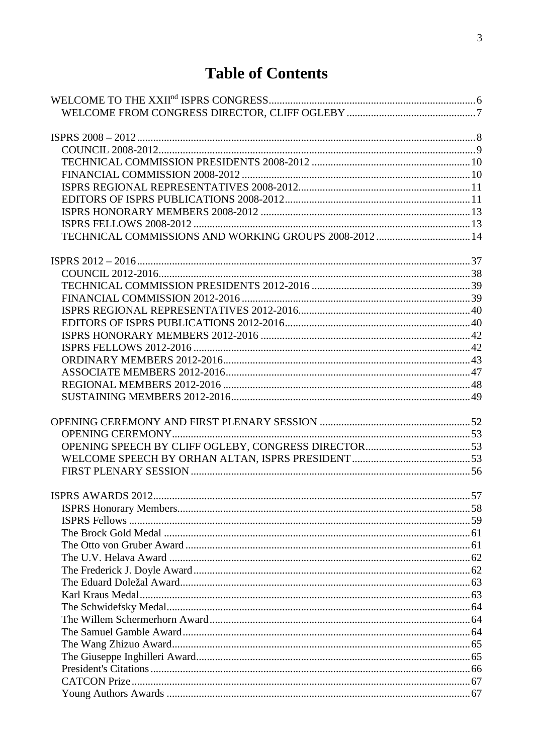## **Table of Contents**

| TECHNICAL COMMISSIONS AND WORKING GROUPS 2008-2012  14 |  |
|--------------------------------------------------------|--|
|                                                        |  |
|                                                        |  |
|                                                        |  |
|                                                        |  |
|                                                        |  |
|                                                        |  |
|                                                        |  |
|                                                        |  |
|                                                        |  |
|                                                        |  |
|                                                        |  |
|                                                        |  |
|                                                        |  |
|                                                        |  |
|                                                        |  |
|                                                        |  |
|                                                        |  |
|                                                        |  |
|                                                        |  |
|                                                        |  |
|                                                        |  |
|                                                        |  |
|                                                        |  |
|                                                        |  |
|                                                        |  |
|                                                        |  |
|                                                        |  |
|                                                        |  |
|                                                        |  |
|                                                        |  |
|                                                        |  |
|                                                        |  |
|                                                        |  |
|                                                        |  |
|                                                        |  |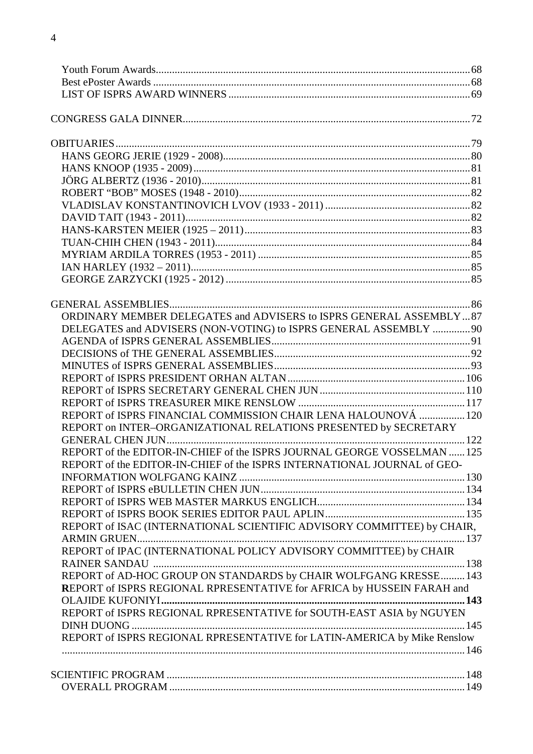| ORDINARY MEMBER DELEGATES and ADVISERS to ISPRS GENERAL ASSEMBLY87       |  |
|--------------------------------------------------------------------------|--|
|                                                                          |  |
| DELEGATES and ADVISERS (NON-VOTING) to ISPRS GENERAL ASSEMBLY  90        |  |
|                                                                          |  |
|                                                                          |  |
|                                                                          |  |
|                                                                          |  |
|                                                                          |  |
|                                                                          |  |
| REPORT of ISPRS FINANCIAL COMMISSION CHAIR LENA HALOUNOVÁ  120           |  |
| REPORT on INTER-ORGANIZATIONAL RELATIONS PRESENTED by SECRETARY          |  |
|                                                                          |  |
| REPORT of the EDITOR-IN-CHIEF of the ISPRS JOURNAL GEORGE VOSSELMAN  125 |  |
| REPORT of the EDITOR-IN-CHIEF of the ISPRS INTERNATIONAL JOURNAL of GEO- |  |
|                                                                          |  |
|                                                                          |  |
|                                                                          |  |
|                                                                          |  |
| REPORT of ISAC (INTERNATIONAL SCIENTIFIC ADVISORY COMMITTEE) by CHAIR,   |  |
|                                                                          |  |
| REPORT of IPAC (INTERNATIONAL POLICY ADVISORY COMMITTEE) by CHAIR        |  |
|                                                                          |  |
| REPORT of AD-HOC GROUP ON STANDARDS by CHAIR WOLFGANG KRESSE 143         |  |
| REPORT of ISPRS REGIONAL RPRESENTATIVE for AFRICA by HUSSEIN FARAH and   |  |
|                                                                          |  |
| REPORT of ISPRS REGIONAL RPRESENTATIVE for SOUTH-EAST ASIA by NGUYEN     |  |
|                                                                          |  |
| REPORT of ISPRS REGIONAL RPRESENTATIVE for LATIN-AMERICA by Mike Renslow |  |
|                                                                          |  |
|                                                                          |  |
|                                                                          |  |
|                                                                          |  |